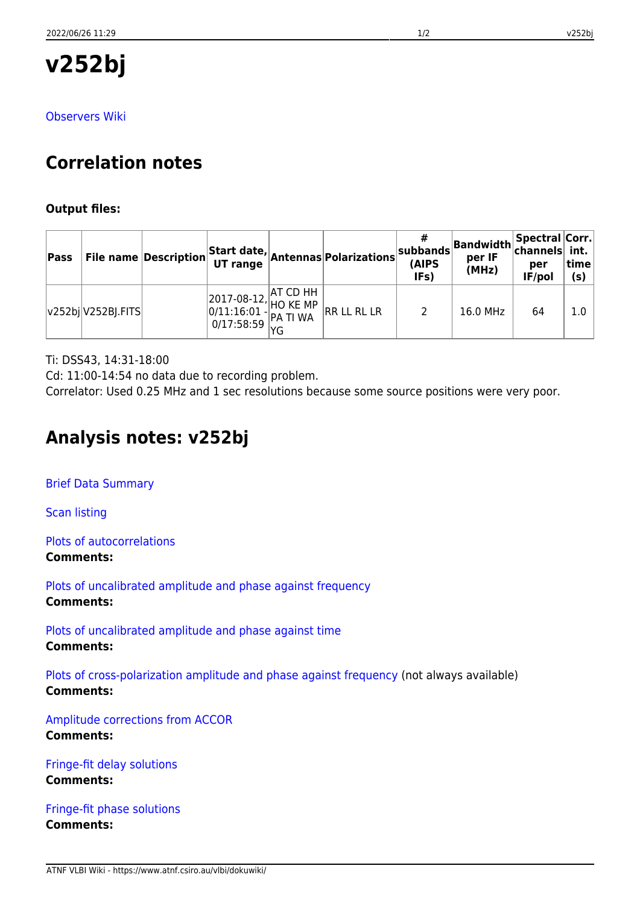**v252bj**

[Observers Wiki](http://www.atnf.csiro.au/vlbi/dokuwiki/doku.php/lbaops/lbaAug2017/v252bj)

# **Correlation notes**

### **Output files:**

| Pass |                            |  | File name Description Start date, Antennas Polarizations $ ^{\mathbf{S}^{\prime}}$                                                                                                          | #<br>$ $ subbands $ $<br>(AIPS<br>IFs) | <b>Bandwidth</b> Spectral Corr.<br>per IF<br>(MHz) | per<br>IF/pol | time<br>(s) |
|------|----------------------------|--|---------------------------------------------------------------------------------------------------------------------------------------------------------------------------------------------|----------------------------------------|----------------------------------------------------|---------------|-------------|
|      | $ v252b $ $ V252B $ . FITS |  | $\begin{array}{ l l l } \hline 2017-08-12, &\hline \text{AT CD HH} & \\ \hline 0/11:16:01 & -\text{PAC MP} & \text{RR LL RL LR} \\ \hline 0/17:58:59 & \text{YG} & & \\ \hline \end{array}$ | 2                                      | 16.0 MHz                                           | 64            | 1.0         |

Ti: DSS43, 14:31-18:00

Cd: 11:00-14:54 no data due to recording problem.

Correlator: Used 0.25 MHz and 1 sec resolutions because some source positions were very poor.

## **Analysis notes: v252bj**

[Brief Data Summary](ftp://ftp.atnf.csiro.au/pub/people/vlbi/pipeline/v252bj/v252bj.DTSUM)

[Scan listing](ftp://ftp.atnf.csiro.au/pub/people/vlbi/pipeline/v252bj/v252bj.SCAN)

[Plots of autocorrelations](ftp://ftp.atnf.csiro.au/pub/people/vlbi/pipeline/v252bj/v252bj_POSSM_AUTOCORR.pdf) **Comments:**

[Plots of uncalibrated amplitude and phase against frequency](ftp://ftp.atnf.csiro.au/pub/people/vlbi/pipeline/v252bj/v252bj_POSSM_UNCAL.pdf) **Comments:**

[Plots of uncalibrated amplitude and phase against time](ftp://ftp.atnf.csiro.au/pub/people/vlbi/pipeline/v252bj/v252bj_VPLOT_UNCAL.pdf) **Comments:**

[Plots of cross-polarization amplitude and phase against frequency](ftp://ftp.atnf.csiro.au/pub/people/vlbi/pipeline/v252bj/v252bj_POSSM_CPOL.pdf) (not always available) **Comments:**

[Amplitude corrections from ACCOR](ftp://ftp.atnf.csiro.au/pub/people/vlbi/pipeline/v252bj/v252bj_ACCOR.pdf) **Comments:**

[Fringe-fit delay solutions](ftp://ftp.atnf.csiro.au/pub/people/vlbi/pipeline/v252bj/v252bj_FRING_DELAY.pdf) **Comments:**

[Fringe-fit phase solutions](ftp://ftp.atnf.csiro.au/pub/people/vlbi/pipeline/v252bj/v252bj_FRING_PHAS.pdf) **Comments:**